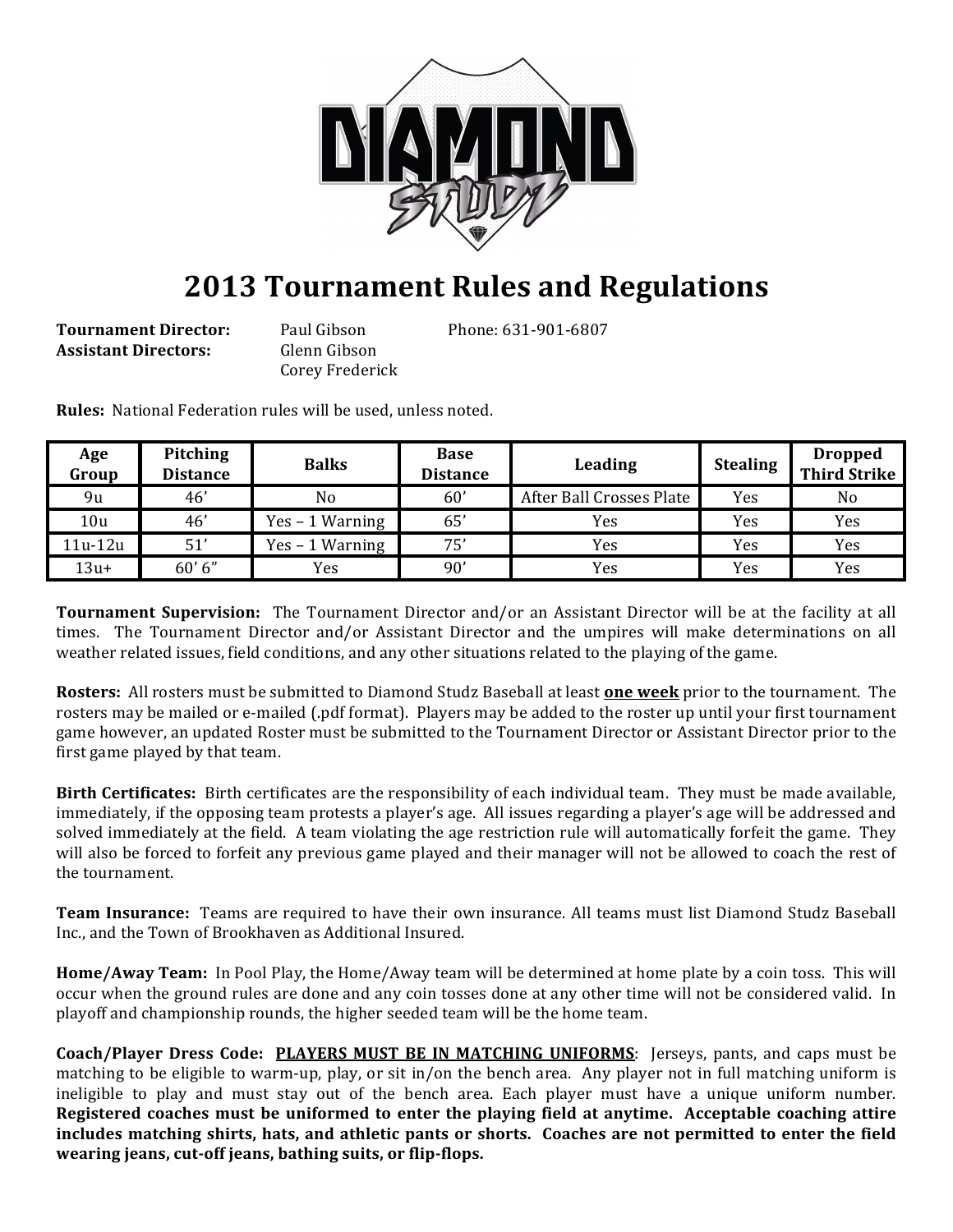

## **2013 Tournament Rules and Regulations**

**Tournament Director:** Paul Gibson Phone: 631-901-6807 **Assistant Directors:** Glenn Gibson

Corey Frederick

**Rules:** National Federation rules will be used, unless noted.

| Age<br>Group | <b>Pitching</b><br><b>Distance</b> | <b>Balks</b>      | <b>Base</b><br><b>Distance</b> | Leading                  | <b>Stealing</b> | <b>Dropped</b><br><b>Third Strike</b> |
|--------------|------------------------------------|-------------------|--------------------------------|--------------------------|-----------------|---------------------------------------|
| 9u           | 46'                                | No                | 60'                            | After Ball Crosses Plate | Yes             | No                                    |
| 10u          | 46'                                | $Yes - 1 Warning$ | 65'                            | Yes                      | Yes             | Yes                                   |
| 11u-12u      | 51'                                | $Yes - 1 Warning$ | 75'                            | Yes                      | Yes             | Yes                                   |
| $13u+$       | 60'6''                             | Yes.              | 90'                            | Yes                      | Yes             | Yes                                   |

**Tournament Supervision:** The Tournament Director and/or an Assistant Director will be at the facility at all times. The Tournament Director and/or Assistant Director and the umpires will make determinations on all weather related issues, field conditions, and any other situations related to the playing of the game.

**Rosters:** All rosters must be submitted to Diamond Studz Baseball at least **one week** prior to the tournament. The rosters may be mailed or e-mailed (.pdf format). Players may be added to the roster up until your first tournament game however, an updated Roster must be submitted to the Tournament Director or Assistant Director prior to the first game played by that team.

**Birth Certificates:** Birth certificates are the responsibility of each individual team. They must be made available, immediately, if the opposing team protests a player's age. All issues regarding a player's age will be addressed and solved immediately at the field. A team violating the age restriction rule will automatically forfeit the game. They will also be forced to forfeit any previous game played and their manager will not be allowed to coach the rest of the tournament.

**Team Insurance:** Teams are required to have their own insurance. All teams must list Diamond Studz Baseball Inc., and the Town of Brookhaven as Additional Insured.

**Home/Away Team:** In Pool Play, the Home/Away team will be determined at home plate by a coin toss. This will occur when the ground rules are done and any coin tosses done at any other time will not be considered valid. In playoff and championship rounds, the higher seeded team will be the home team.

**Coach/Player Dress Code: PLAYERS MUST BE IN MATCHING UNIFORMS:** Jerseys, pants, and caps must be matching to be eligible to warm-up, play, or sit in/on the bench area. Any player not in full matching uniform is ineligible to play and must stay out of the bench area. Each player must have a unique uniform number. Registered coaches must be uniformed to enter the playing field at anytime. Acceptable coaching attire includes matching shirts, hats, and athletic pants or shorts. Coaches are not permitted to enter the field wearing jeans, cut-off jeans, bathing suits, or flip-flops.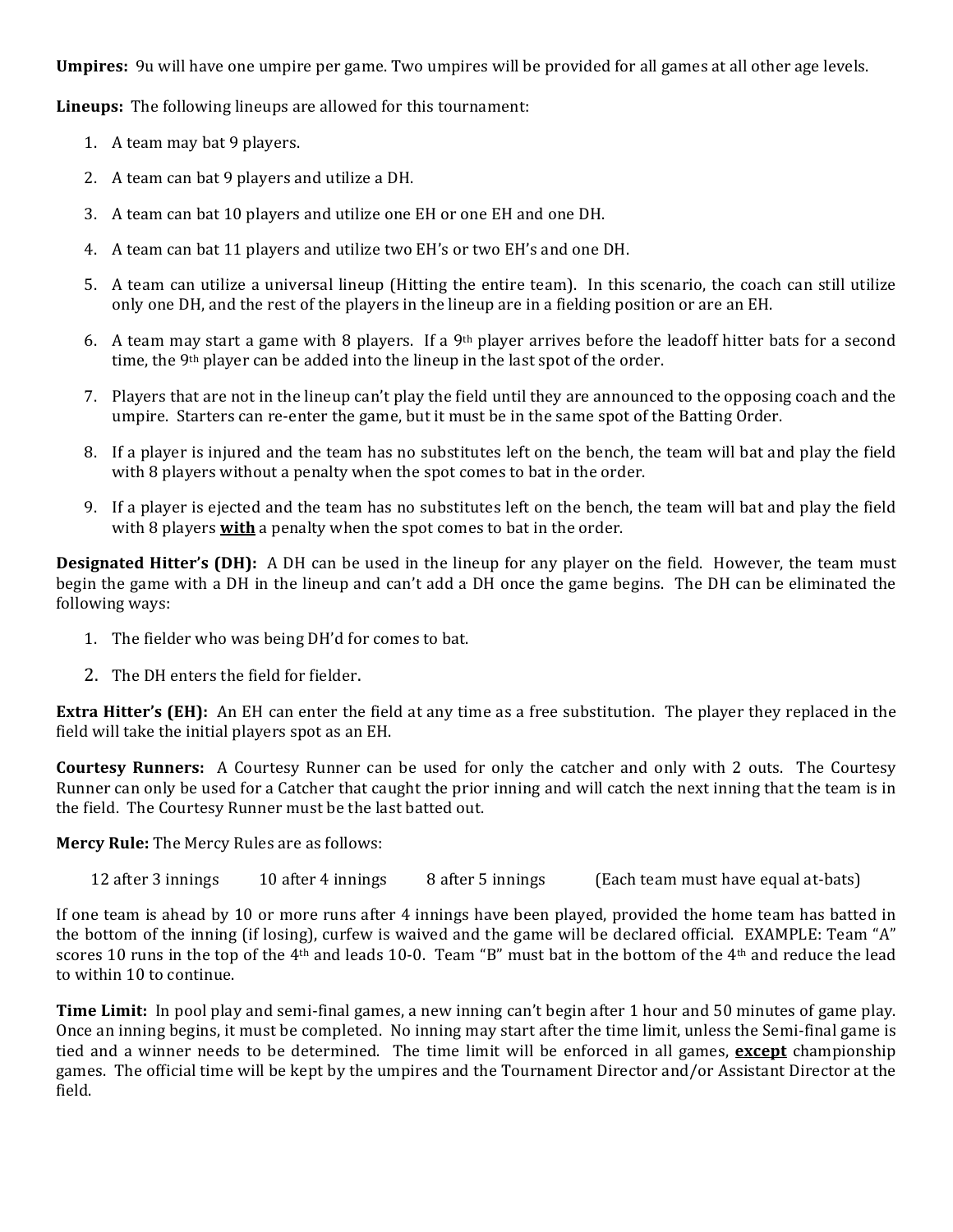**Umpires:** 9u will have one umpire per game. Two umpires will be provided for all games at all other age levels.

**Lineups:** The following lineups are allowed for this tournament:

- 1. A team may bat 9 players.
- 2. A team can bat 9 players and utilize a DH.
- 3. A team can bat 10 players and utilize one EH or one EH and one DH.
- 4. A team can bat 11 players and utilize two EH's or two EH's and one DH.
- 5. A team can utilize a universal lineup (Hitting the entire team). In this scenario, the coach can still utilize only one DH, and the rest of the players in the lineup are in a fielding position or are an EH.
- 6. A team may start a game with 8 players. If a 9<sup>th</sup> player arrives before the leadoff hitter bats for a second time, the 9<sup>th</sup> player can be added into the lineup in the last spot of the order.
- 7. Players that are not in the lineup can't play the field until they are announced to the opposing coach and the umpire. Starters can re-enter the game, but it must be in the same spot of the Batting Order.
- 8. If a player is injured and the team has no substitutes left on the bench, the team will bat and play the field with  $8$  players without a penalty when the spot comes to bat in the order.
- 9. If a player is ejected and the team has no substitutes left on the bench, the team will bat and play the field with 8 players **with** a penalty when the spot comes to bat in the order.

**Designated Hitter's (DH):** A DH can be used in the lineup for any player on the field. However, the team must begin the game with a DH in the lineup and can't add a DH once the game begins. The DH can be eliminated the following ways:

- 1. The fielder who was being DH'd for comes to bat.
- 2. The DH enters the field for fielder.

**Extra Hitter's (EH):** An EH can enter the field at any time as a free substitution. The player they replaced in the field will take the initial players spot as an EH.

**Courtesy Runners:** A Courtesy Runner can be used for only the catcher and only with 2 outs. The Courtesy Runner can only be used for a Catcher that caught the prior inning and will catch the next inning that the team is in the field. The Courtesy Runner must be the last batted out.

**Mercy Rule:** The Mercy Rules are as follows:

12 after 3 innings 10 after 4 innings 8 after 5 innings (Each team must have equal at-bats)

If one team is ahead by 10 or more runs after 4 innings have been played, provided the home team has batted in the bottom of the inning (if losing), curfew is waived and the game will be declared official. EXAMPLE: Team "A" scores 10 runs in the top of the 4<sup>th</sup> and leads 10-0. Team "B" must bat in the bottom of the 4<sup>th</sup> and reduce the lead to within 10 to continue.

**Time Limit:** In pool play and semi-final games, a new inning can't begin after 1 hour and 50 minutes of game play. Once an inning begins, it must be completed. No inning may start after the time limit, unless the Semi-final game is tied and a winner needs to be determined. The time limit will be enforced in all games, **except** championship games. The official time will be kept by the umpires and the Tournament Director and/or Assistant Director at the field.